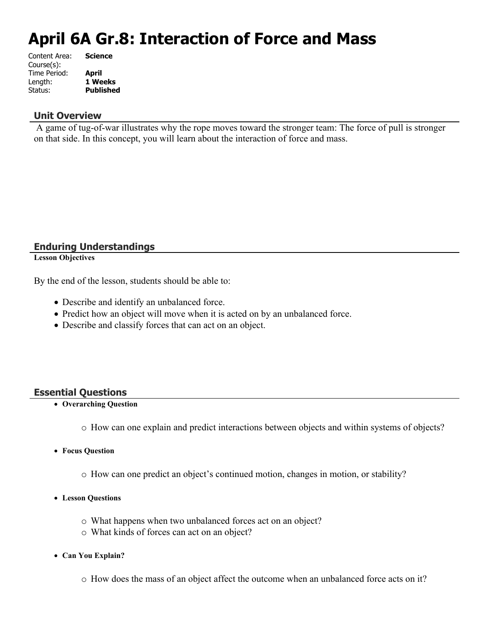# **April 6A Gr.8: Interaction of Force and Mass**

| <b>Science</b>   |
|------------------|
|                  |
| <b>April</b>     |
| 1 Weeks          |
| <b>Published</b> |
|                  |

#### **Unit Overview**

 A game of tug-of-war illustrates why the rope moves toward the stronger team: The force of pull is stronger on that side. In this concept, you will learn about the interaction of force and mass.

### **Enduring Understandings**

**Lesson Objectives**

By the end of the lesson, students should be able to:

- Describe and identify an unbalanced force.
- Predict how an object will move when it is acted on by an unbalanced force.
- Describe and classify forces that can act on an object.

### **Essential Questions**

- **Overarching Question**
	- o How can one explain and predict interactions between objects and within systems of objects?
- **Focus Question**
	- o How can one predict an object's continued motion, changes in motion, or stability?
- **Lesson Questions**
	- o What happens when two unbalanced forces act on an object?
	- o What kinds of forces can act on an object?
- **Can You Explain?**
	- o How does the mass of an object affect the outcome when an unbalanced force acts on it?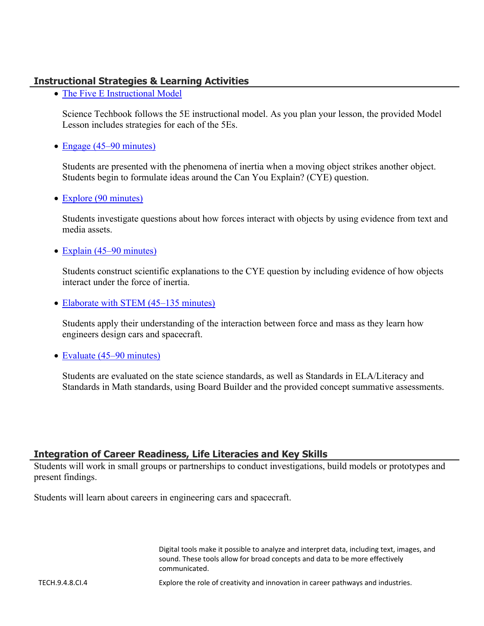### **Instructional Strategies & Learning Activities**

• [The Five E Instructional Model](https://app.discoveryeducation.com/learn/techbook/units/aca7980d-a6c7-475d-9d82-87d45a377a7e/concepts/46b1fc10-8fdc-4e55-a6b6-14b34ae5cb71/lesson/sections/c6b4a922-1793-4af2-95e1-c1997a797639#0acb0d74-7cc4-4214-842f-a19f21a4ccaf)

Science Techbook follows the 5E instructional model. As you plan your lesson, the provided Model Lesson includes strategies for each of the 5Es.

• [Engage \(45–90 minutes\)](https://app.discoveryeducation.com/learn/techbook/units/aca7980d-a6c7-475d-9d82-87d45a377a7e/concepts/46b1fc10-8fdc-4e55-a6b6-14b34ae5cb71/lesson/sections/c6b4a922-1793-4af2-95e1-c1997a797639#55197f30-8bcb-4086-a8f4-788f715ac794)

Students are presented with the phenomena of inertia when a moving object strikes another object. Students begin to formulate ideas around the Can You Explain? (CYE) question.

• [Explore \(90 minutes\)](https://app.discoveryeducation.com/learn/techbook/units/aca7980d-a6c7-475d-9d82-87d45a377a7e/concepts/46b1fc10-8fdc-4e55-a6b6-14b34ae5cb71/lesson/sections/c6b4a922-1793-4af2-95e1-c1997a797639#307725bb-f7ef-4507-85bd-d3686d3ddf8b)

Students investigate questions about how forces interact with objects by using evidence from text and media assets.

• [Explain \(45–90 minutes\)](https://app.discoveryeducation.com/learn/techbook/units/aca7980d-a6c7-475d-9d82-87d45a377a7e/concepts/46b1fc10-8fdc-4e55-a6b6-14b34ae5cb71/lesson/sections/c6b4a922-1793-4af2-95e1-c1997a797639#87cc2c48-1dad-442c-bef1-888c7939b550)

Students construct scientific explanations to the CYE question by including evidence of how objects interact under the force of inertia.

• [Elaborate with STEM \(45–135 minutes\)](https://app.discoveryeducation.com/learn/techbook/units/aca7980d-a6c7-475d-9d82-87d45a377a7e/concepts/46b1fc10-8fdc-4e55-a6b6-14b34ae5cb71/lesson/sections/c6b4a922-1793-4af2-95e1-c1997a797639#b60580d1-6e83-4a53-86eb-8594742205e2)

Students apply their understanding of the interaction between force and mass as they learn how engineers design cars and spacecraft.

• [Evaluate \(45–90 minutes\)](https://app.discoveryeducation.com/learn/techbook/units/aca7980d-a6c7-475d-9d82-87d45a377a7e/concepts/46b1fc10-8fdc-4e55-a6b6-14b34ae5cb71/lesson/sections/c6b4a922-1793-4af2-95e1-c1997a797639#c90e214b-d98a-4db6-a6c8-8c23f7f89987)

Students are evaluated on the state science standards, as well as Standards in ELA/Literacy and Standards in Math standards, using Board Builder and the provided concept summative assessments.

### **Integration of Career Readiness, Life Literacies and Key Skills**

Students will work in small groups or partnerships to conduct investigations, build models or prototypes and present findings.

Students will learn about careers in engineering cars and spacecraft.

Digital tools make it possible to analyze and interpret data, including text, images, and sound. These tools allow for broad concepts and data to be more effectively communicated.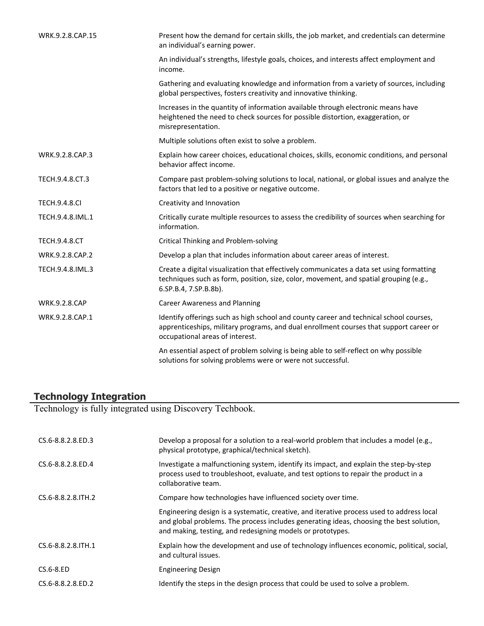| WRK.9.2.8.CAP.15     | Present how the demand for certain skills, the job market, and credentials can determine<br>an individual's earning power.                                                                                          |
|----------------------|---------------------------------------------------------------------------------------------------------------------------------------------------------------------------------------------------------------------|
|                      | An individual's strengths, lifestyle goals, choices, and interests affect employment and<br>income.                                                                                                                 |
|                      | Gathering and evaluating knowledge and information from a variety of sources, including<br>global perspectives, fosters creativity and innovative thinking.                                                         |
|                      | Increases in the quantity of information available through electronic means have<br>heightened the need to check sources for possible distortion, exaggeration, or<br>misrepresentation.                            |
|                      | Multiple solutions often exist to solve a problem.                                                                                                                                                                  |
| WRK.9.2.8.CAP.3      | Explain how career choices, educational choices, skills, economic conditions, and personal<br>behavior affect income.                                                                                               |
| TECH.9.4.8.CT.3      | Compare past problem-solving solutions to local, national, or global issues and analyze the<br>factors that led to a positive or negative outcome.                                                                  |
| <b>TECH.9.4.8.CI</b> | Creativity and Innovation                                                                                                                                                                                           |
| TECH.9.4.8.IML.1     | Critically curate multiple resources to assess the credibility of sources when searching for<br>information.                                                                                                        |
| <b>TECH.9.4.8.CT</b> | <b>Critical Thinking and Problem-solving</b>                                                                                                                                                                        |
| WRK.9.2.8.CAP.2      | Develop a plan that includes information about career areas of interest.                                                                                                                                            |
| TECH.9.4.8.IML.3     | Create a digital visualization that effectively communicates a data set using formatting<br>techniques such as form, position, size, color, movement, and spatial grouping (e.g.,<br>6.SP.B.4, 7.SP.B.8b).          |
| <b>WRK.9.2.8.CAP</b> | <b>Career Awareness and Planning</b>                                                                                                                                                                                |
| WRK.9.2.8.CAP.1      | Identify offerings such as high school and county career and technical school courses,<br>apprenticeships, military programs, and dual enrollment courses that support career or<br>occupational areas of interest. |
|                      | An essential aspect of problem solving is being able to self-reflect on why possible<br>solutions for solving problems were or were not successful.                                                                 |

### **Technology Integration**

Technology is fully integrated using Discovery Techbook.

| CS.6-8.8.2.8.ED.3    | Develop a proposal for a solution to a real-world problem that includes a model (e.g.,<br>physical prototype, graphical/technical sketch).                                                                                                         |
|----------------------|----------------------------------------------------------------------------------------------------------------------------------------------------------------------------------------------------------------------------------------------------|
| CS.6-8.8.2.8.ED.4    | Investigate a malfunctioning system, identify its impact, and explain the step-by-step<br>process used to troubleshoot, evaluate, and test options to repair the product in a<br>collaborative team.                                               |
| CS.6-8.8.2.8. ITH. 2 | Compare how technologies have influenced society over time.                                                                                                                                                                                        |
|                      | Engineering design is a systematic, creative, and iterative process used to address local<br>and global problems. The process includes generating ideas, choosing the best solution,<br>and making, testing, and redesigning models or prototypes. |
| CS.6-8.8.2.8. ITH. 1 | Explain how the development and use of technology influences economic, political, social,<br>and cultural issues.                                                                                                                                  |
| CS.6-8.ED            | <b>Engineering Design</b>                                                                                                                                                                                                                          |
| CS.6-8.8.2.8.ED.2    | Identify the steps in the design process that could be used to solve a problem.                                                                                                                                                                    |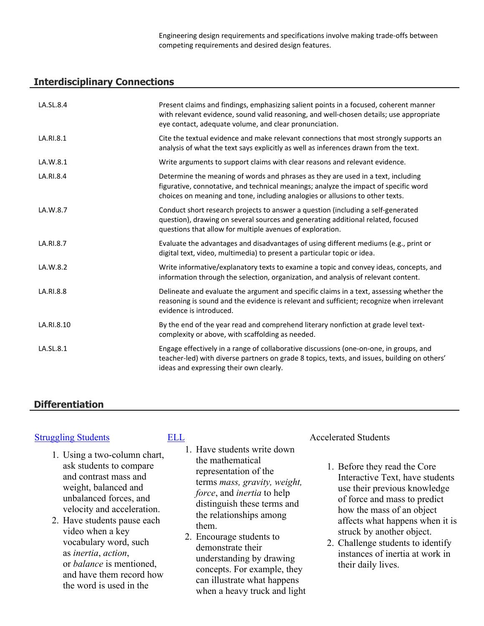Engineering design requirements and specifications involve making trade-offs between competing requirements and desired design features.

#### **Interdisciplinary Connections**

| LA.SL.8.4  | Present claims and findings, emphasizing salient points in a focused, coherent manner<br>with relevant evidence, sound valid reasoning, and well-chosen details; use appropriate<br>eye contact, adequate volume, and clear pronunciation.                |
|------------|-----------------------------------------------------------------------------------------------------------------------------------------------------------------------------------------------------------------------------------------------------------|
| LA.RI.8.1  | Cite the textual evidence and make relevant connections that most strongly supports an<br>analysis of what the text says explicitly as well as inferences drawn from the text.                                                                            |
| LA.W.8.1   | Write arguments to support claims with clear reasons and relevant evidence.                                                                                                                                                                               |
| LA.RI.8.4  | Determine the meaning of words and phrases as they are used in a text, including<br>figurative, connotative, and technical meanings; analyze the impact of specific word<br>choices on meaning and tone, including analogies or allusions to other texts. |
| LA.W.8.7   | Conduct short research projects to answer a question (including a self-generated<br>question), drawing on several sources and generating additional related, focused<br>questions that allow for multiple avenues of exploration.                         |
| LA.RI.8.7  | Evaluate the advantages and disadvantages of using different mediums (e.g., print or<br>digital text, video, multimedia) to present a particular topic or idea.                                                                                           |
| LA.W.8.2   | Write informative/explanatory texts to examine a topic and convey ideas, concepts, and<br>information through the selection, organization, and analysis of relevant content.                                                                              |
| LA.RI.8.8  | Delineate and evaluate the argument and specific claims in a text, assessing whether the<br>reasoning is sound and the evidence is relevant and sufficient; recognize when irrelevant<br>evidence is introduced.                                          |
| LA.RI.8.10 | By the end of the year read and comprehend literary nonfiction at grade level text-<br>complexity or above, with scaffolding as needed.                                                                                                                   |
| LA.SL.8.1  | Engage effectively in a range of collaborative discussions (one-on-one, in groups, and<br>teacher-led) with diverse partners on grade 8 topics, texts, and issues, building on others'<br>ideas and expressing their own clearly.                         |

### **Differentiation**

- 1. Using a two-column chart, ask students to compare and contrast mass and weight, balanced and unbalanced forces, and velocity and acceleration.
- 2. Have students pause each video when a key vocabulary word, such as *inertia*, *action*, or *balance* is mentioned, and have them record how the word is used in the

- 1. Have students write down the mathematical representation of the terms *mass, gravity, weight, force*, and *inertia* to help distinguish these terms and the relationships among them.
- 2. Encourage students to demonstrate their understanding by drawing concepts. For example, they can illustrate what happens when a heavy truck and light

#### [Struggling Students](https://app.discoveryeducation.com/player/view/assetGuid/4995767F-D634-40C6-B25B-BDEA06E14F90) **[ELL](https://app.discoveryeducation.com/player/view/assetGuid/D727DF69-B79B-4A92-AA1F-CE23C74D98D9)** Accelerated Students

- 1. Before they read the Core Interactive Text, have students use their previous knowledge of force and mass to predict how the mass of an object affects what happens when it is struck by another object.
- 2. Challenge students to identify instances of inertia at work in their daily lives.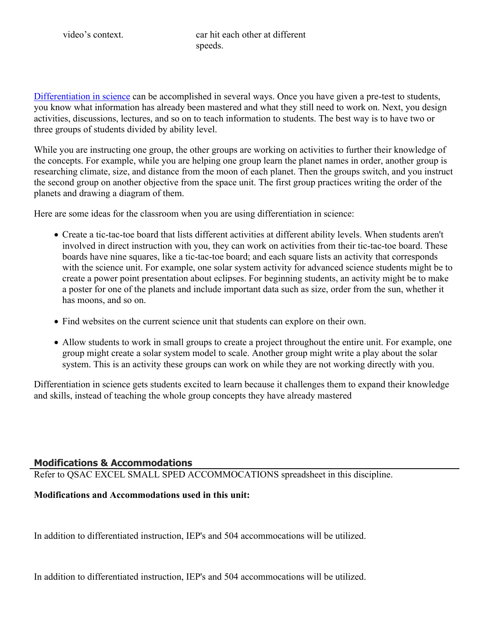video's context. car hit each other at different speeds.

[Differentiation in science](http://www.brighthubeducation.com/teaching-gifted-students/65181-differentiation-techniques-and-activities-in-the-classroom-for-gifted-students/) can be accomplished in several ways. Once you have given a pre-test to students, you know what information has already been mastered and what they still need to work on. Next, you design activities, discussions, lectures, and so on to teach information to students. The best way is to have two or three groups of students divided by ability level.

While you are instructing one group, the other groups are working on activities to further their knowledge of the concepts. For example, while you are helping one group learn the planet names in order, another group is researching climate, size, and distance from the moon of each planet. Then the groups switch, and you instruct the second group on another objective from the space unit. The first group practices writing the order of the planets and drawing a diagram of them.

Here are some ideas for the classroom when you are using differentiation in science:

- Create a tic-tac-toe board that lists different activities at different ability levels. When students aren't involved in direct instruction with you, they can work on activities from their tic-tac-toe board. These boards have nine squares, like a tic-tac-toe board; and each square lists an activity that corresponds with the science unit. For example, one solar system activity for advanced science students might be to create a power point presentation about eclipses. For beginning students, an activity might be to make a poster for one of the planets and include important data such as size, order from the sun, whether it has moons, and so on.
- Find websites on the current science unit that students can explore on their own.
- Allow students to work in small groups to create a project throughout the entire unit. For example, one group might create a solar system model to scale. Another group might write a play about the solar system. This is an activity these groups can work on while they are not working directly with you.

Differentiation in science gets students excited to learn because it challenges them to expand their knowledge and skills, instead of teaching the whole group concepts they have already mastered

### **Modifications & Accommodations**

Refer to QSAC EXCEL SMALL SPED ACCOMMOCATIONS spreadsheet in this discipline.

#### **Modifications and Accommodations used in this unit:**

In addition to differentiated instruction, IEP's and 504 accommocations will be utilized.

In addition to differentiated instruction, IEP's and 504 accommocations will be utilized.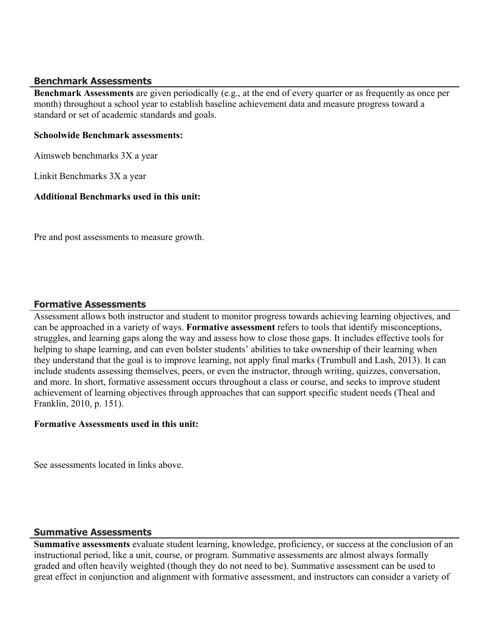#### **Benchmark Assessments**

**Benchmark Assessments** are given periodically (e.g., at the end of every quarter or as frequently as once per month) throughout a school year to establish baseline achievement data and measure progress toward a standard or set of academic standards and goals.

#### **Schoolwide Benchmark assessments:**

Aimsweb benchmarks 3X a year

Linkit Benchmarks 3X a year

### **Additional Benchmarks used in this unit:**

Pre and post assessments to measure growth.

#### **Formative Assessments**

Assessment allows both instructor and student to monitor progress towards achieving learning objectives, and can be approached in a variety of ways. **Formative assessment** refers to tools that identify misconceptions, struggles, and learning gaps along the way and assess how to close those gaps. It includes effective tools for helping to shape learning, and can even bolster students' abilities to take ownership of their learning when they understand that the goal is to improve learning, not apply final marks (Trumbull and Lash, 2013). It can include students assessing themselves, peers, or even the instructor, through writing, quizzes, conversation, and more. In short, formative assessment occurs throughout a class or course, and seeks to improve student achievement of learning objectives through approaches that can support specific student needs (Theal and Franklin, 2010, p. 151).

#### **Formative Assessments used in this unit:**

See assessments located in links above.

### **Summative Assessments**

**Summative assessments** evaluate student learning, knowledge, proficiency, or success at the conclusion of an instructional period, like a unit, course, or program. Summative assessments are almost always formally graded and often heavily weighted (though they do not need to be). Summative assessment can be used to great effect in conjunction and alignment with formative assessment, and instructors can consider a variety of